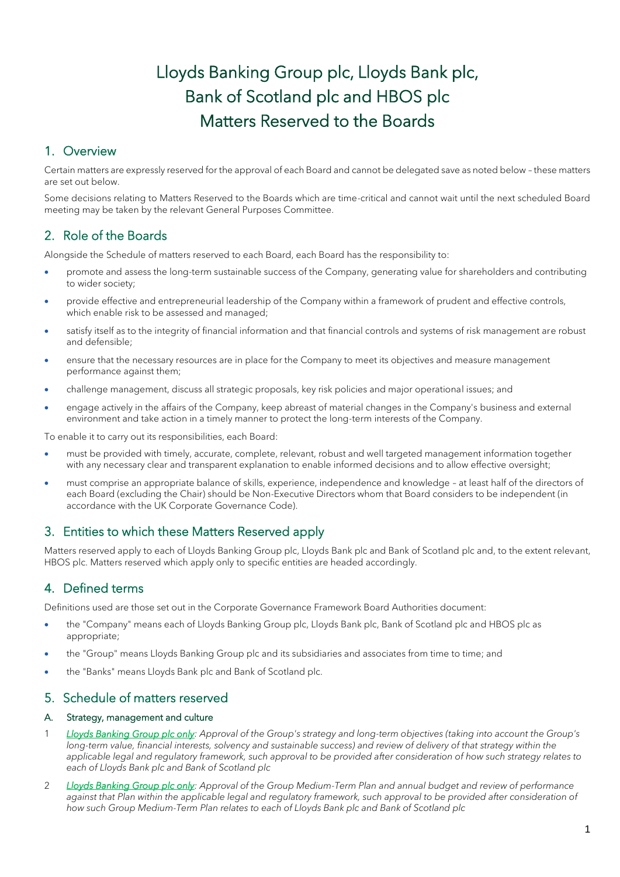# Lloyds Banking Group plc, Lloyds Bank plc, Bank of Scotland plc and HBOS plc Matters Reserved to the Boards

# 1. Overview

Certain matters are expressly reserved for the approval of each Board and cannot be delegated save as noted below – these matters are set out below.

Some decisions relating to Matters Reserved to the Boards which are time-critical and cannot wait until the next scheduled Board meeting may be taken by the relevant General Purposes Committee.

# 2. Role of the Boards

Alongside the Schedule of matters reserved to each Board, each Board has the responsibility to:

- promote and assess the long-term sustainable success of the Company, generating value for shareholders and contributing to wider society;
- provide effective and entrepreneurial leadership of the Company within a framework of prudent and effective controls, which enable risk to be assessed and managed;
- satisfy itself as to the integrity of financial information and that financial controls and systems of risk management are robust and defensible;
- ensure that the necessary resources are in place for the Company to meet its objectives and measure management performance against them;
- challenge management, discuss all strategic proposals, key risk policies and major operational issues; and
- engage actively in the affairs of the Company, keep abreast of material changes in the Company's business and external environment and take action in a timely manner to protect the long-term interests of the Company.

To enable it to carry out its responsibilities, each Board:

- must be provided with timely, accurate, complete, relevant, robust and well targeted management information together with any necessary clear and transparent explanation to enable informed decisions and to allow effective oversight;
- must comprise an appropriate balance of skills, experience, independence and knowledge at least half of the directors of each Board (excluding the Chair) should be Non-Executive Directors whom that Board considers to be independent (in accordance with the UK Corporate Governance Code).

# 3. Entities to which these Matters Reserved apply

Matters reserved apply to each of Lloyds Banking Group plc, Lloyds Bank plc and Bank of Scotland plc and, to the extent relevant, HBOS plc. Matters reserved which apply only to specific entities are headed accordingly.

# 4. Defined terms

Definitions used are those set out in the Corporate Governance Framework Board Authorities document:

- the "Company" means each of Lloyds Banking Group plc, Lloyds Bank plc, Bank of Scotland plc and HBOS plc as appropriate;
- the "Group" means Lloyds Banking Group plc and its subsidiaries and associates from time to time; and
- the "Banks" means Lloyds Bank plc and Bank of Scotland plc.

# 5. Schedule of matters reserved

# A. Strategy, management and culture

- 1 *Lloyds Banking Group plc only: Approval of the Group's strategy and long-term objectives (taking into account the Group's*  long-term value, financial interests, solvency and sustainable success) and review of delivery of that strategy within the *applicable legal and regulatory framework, such approval to be provided after consideration of how such strategy relates to each of Lloyds Bank plc and Bank of Scotland plc*
- 2 *Lloyds Banking Group plc only: Approval of the Group Medium-Term Plan and annual budget and review of performance*  against that Plan within the applicable legal and regulatory framework, such approval to be provided after consideration of *how such Group Medium-Term Plan relates to each of Lloyds Bank plc and Bank of Scotland plc*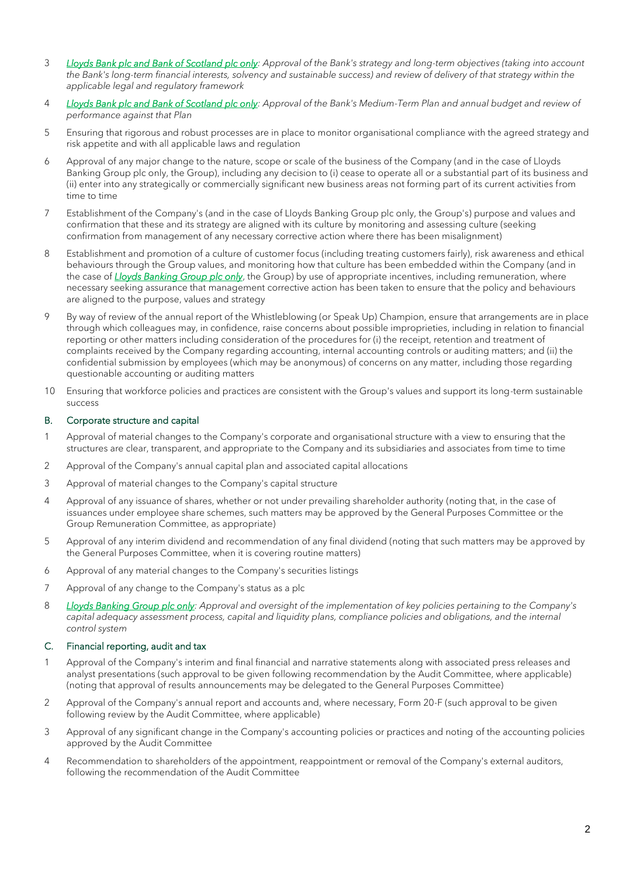- 3 *Lloyds Bank plc and Bank of Scotland plc only: Approval of the Bank's strategy and long-term objectives (taking into account the Bank's long-term financial interests, solvency and sustainable success) and review of delivery of that strategy within the applicable legal and regulatory framework*
- 4 *Lloyds Bank plc and Bank of Scotland plc only: Approval of the Bank's Medium-Term Plan and annual budget and review of performance against that Plan*
- 5 Ensuring that rigorous and robust processes are in place to monitor organisational compliance with the agreed strategy and risk appetite and with all applicable laws and regulation
- 6 Approval of any major change to the nature, scope or scale of the business of the Company (and in the case of Lloyds Banking Group plc only, the Group), including any decision to (i) cease to operate all or a substantial part of its business and (ii) enter into any strategically or commercially significant new business areas not forming part of its current activities from time to time
- 7 Establishment of the Company's (and in the case of Lloyds Banking Group plc only, the Group's) purpose and values and confirmation that these and its strategy are aligned with its culture by monitoring and assessing culture (seeking confirmation from management of any necessary corrective action where there has been misalignment)
- 8 Establishment and promotion of a culture of customer focus (including treating customers fairly), risk awareness and ethical behaviours through the Group values, and monitoring how that culture has been embedded within the Company (and in the case of *Lloyds Banking Group plc only*, the Group) by use of appropriate incentives, including remuneration, where necessary seeking assurance that management corrective action has been taken to ensure that the policy and behaviours are aligned to the purpose, values and strategy
- 9 By way of review of the annual report of the Whistleblowing (or Speak Up) Champion, ensure that arrangements are in place through which colleagues may, in confidence, raise concerns about possible improprieties, including in relation to financial reporting or other matters including consideration of the procedures for (i) the receipt, retention and treatment of complaints received by the Company regarding accounting, internal accounting controls or auditing matters; and (ii) the confidential submission by employees (which may be anonymous) of concerns on any matter, including those regarding questionable accounting or auditing matters
- 10 Ensuring that workforce policies and practices are consistent with the Group's values and support its long-term sustainable success

## B. Corporate structure and capital

- 1 Approval of material changes to the Company's corporate and organisational structure with a view to ensuring that the structures are clear, transparent, and appropriate to the Company and its subsidiaries and associates from time to time
- 2 Approval of the Company's annual capital plan and associated capital allocations
- 3 Approval of material changes to the Company's capital structure
- 4 Approval of any issuance of shares, whether or not under prevailing shareholder authority (noting that, in the case of issuances under employee share schemes, such matters may be approved by the General Purposes Committee or the Group Remuneration Committee, as appropriate)
- 5 Approval of any interim dividend and recommendation of any final dividend (noting that such matters may be approved by the General Purposes Committee, when it is covering routine matters)
- 6 Approval of any material changes to the Company's securities listings
- 7 Approval of any change to the Company's status as a plc
- 8 *Lloyds Banking Group plc only: Approval and oversight of the implementation of key policies pertaining to the Company's*  capital adequacy assessment process, capital and liquidity plans, compliance policies and obligations, and the internal *control system*

#### C. Financial reporting, audit and tax

- 1 Approval of the Company's interim and final financial and narrative statements along with associated press releases and analyst presentations (such approval to be given following recommendation by the Audit Committee, where applicable) (noting that approval of results announcements may be delegated to the General Purposes Committee)
- 2 Approval of the Company's annual report and accounts and, where necessary, Form 20-F (such approval to be given following review by the Audit Committee, where applicable)
- 3 Approval of any significant change in the Company's accounting policies or practices and noting of the accounting policies approved by the Audit Committee
- 4 Recommendation to shareholders of the appointment, reappointment or removal of the Company's external auditors, following the recommendation of the Audit Committee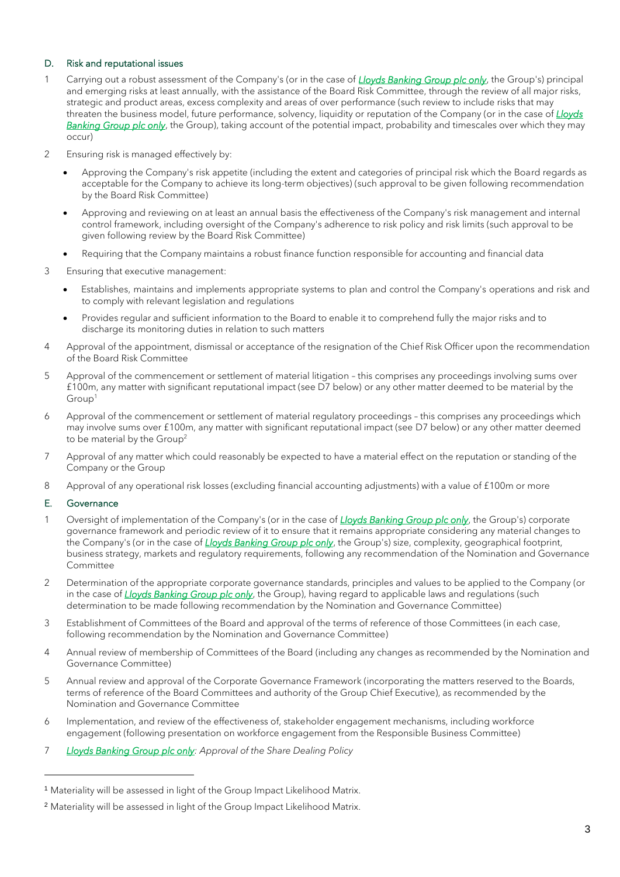# D. Risk and reputational issues

- 1 Carrying out a robust assessment of the Company's (or in the case of *Lloyds Banking Group plc only*, the Group's) principal and emerging risks at least annually, with the assistance of the Board Risk Committee, through the review of all major risks, strategic and product areas, excess complexity and areas of over performance (such review to include risks that may threaten the business model, future performance, solvency, liquidity or reputation of the Company (or in the case of *Lloyds Banking Group plc only*, the Group), taking account of the potential impact, probability and timescales over which they may occur)
- 2 Ensuring risk is managed effectively by:
	- Approving the Company's risk appetite (including the extent and categories of principal risk which the Board regards as acceptable for the Company to achieve its long-term objectives) (such approval to be given following recommendation by the Board Risk Committee)
	- Approving and reviewing on at least an annual basis the effectiveness of the Company's risk management and internal control framework, including oversight of the Company's adherence to risk policy and risk limits (such approval to be given following review by the Board Risk Committee)
	- Requiring that the Company maintains a robust finance function responsible for accounting and financial data
- 3 Ensuring that executive management:
	- Establishes, maintains and implements appropriate systems to plan and control the Company's operations and risk and to comply with relevant legislation and regulations
	- Provides regular and sufficient information to the Board to enable it to comprehend fully the major risks and to discharge its monitoring duties in relation to such matters
- 4 Approval of the appointment, dismissal or acceptance of the resignation of the Chief Risk Officer upon the recommendation of the Board Risk Committee
- 5 Approval of the commencement or settlement of material litigation this comprises any proceedings involving sums over £100m, any matter with significant reputational impact (see D7 below) or any other matter deemed to be material by the Group<sup>1</sup>
- 6 Approval of the commencement or settlement of material regulatory proceedings this comprises any proceedings which may involve sums over £100m, any matter with significant reputational impact (see D7 below) or any other matter deemed to be material by the Group<sup>2</sup>
- 7 Approval of any matter which could reasonably be expected to have a material effect on the reputation or standing of the Company or the Group
- 8 Approval of any operational risk losses (excluding financial accounting adjustments) with a value of £100m or more

#### E. Governance

- 1 Oversight of implementation of the Company's (or in the case of *Lloyds Banking Group plc only*, the Group's) corporate governance framework and periodic review of it to ensure that it remains appropriate considering any material changes to the Company's (or in the case of *Lloyds Banking Group plc only*, the Group's) size, complexity, geographical footprint, business strategy, markets and regulatory requirements, following any recommendation of the Nomination and Governance **Committee**
- 2 Determination of the appropriate corporate governance standards, principles and values to be applied to the Company (or in the case of *Lloyds Banking Group plc only*, the Group), having regard to applicable laws and regulations (such determination to be made following recommendation by the Nomination and Governance Committee)
- 3 Establishment of Committees of the Board and approval of the terms of reference of those Committees (in each case, following recommendation by the Nomination and Governance Committee)
- 4 Annual review of membership of Committees of the Board (including any changes as recommended by the Nomination and Governance Committee)
- 5 Annual review and approval of the Corporate Governance Framework (incorporating the matters reserved to the Boards, terms of reference of the Board Committees and authority of the Group Chief Executive), as recommended by the Nomination and Governance Committee
- 6 Implementation, and review of the effectiveness of, stakeholder engagement mechanisms, including workforce engagement (following presentation on workforce engagement from the Responsible Business Committee)
- 7 *Lloyds Banking Group plc only: Approval of the Share Dealing Policy*

<sup>1</sup> Materiality will be assessed in light of the Group Impact Likelihood Matrix.

<sup>&</sup>lt;sup>2</sup> Materiality will be assessed in light of the Group Impact Likelihood Matrix.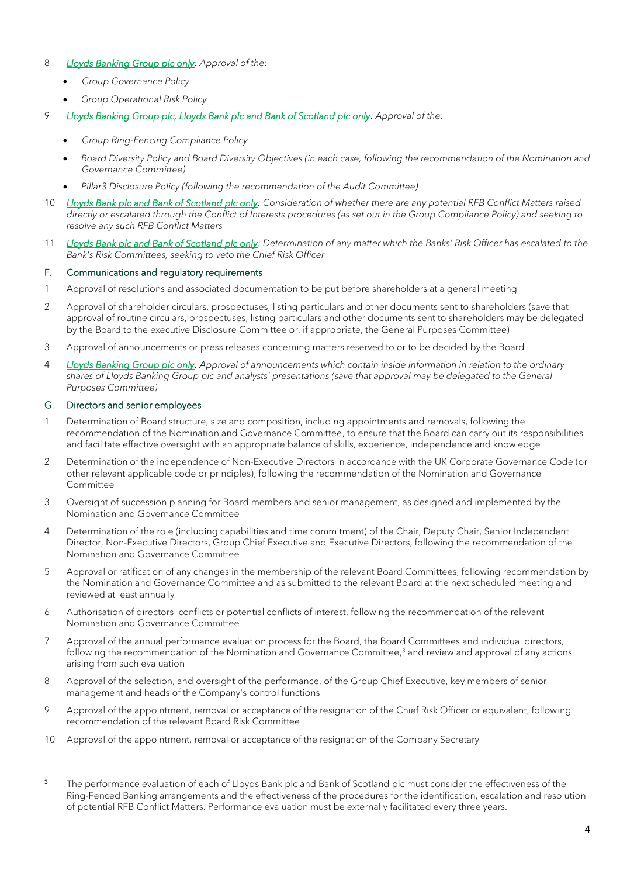## 8 *Lloyds Banking Group plc only: Approval of the:*

- *Group Governance Policy*
- *Group Operational Risk Policy*
- 9 *Lloyds Banking Group plc, Lloyds Bank plc and Bank of Scotland plc only: Approval of the:* 
	- *Group Ring-Fencing Compliance Policy*
	- *Board Diversity Policy and Board Diversity Objectives (in each case, following the recommendation of the Nomination and Governance Committee)*
	- *Pillar3 Disclosure Policy (following the recommendation of the Audit Committee)*
- 10 *Lloyds Bank plc and Bank of Scotland plc only:* Consideration of whether there are any potential RFB Conflict Matters raised *directly or escalated through the Conflict of Interests procedures (as set out in the Group Compliance Policy) and seeking to resolve any such RFB Conflict Matters*
- 11 *Lloyds Bank plc and Bank of Scotland plc only: Determination of any matter which the Banks' Risk Officer has escalated to the Bank's Risk Committees, seeking to veto the Chief Risk Officer*

#### F. Communications and regulatory requirements

- 1 Approval of resolutions and associated documentation to be put before shareholders at a general meeting
- 2 Approval of shareholder circulars, prospectuses, listing particulars and other documents sent to shareholders (save that approval of routine circulars, prospectuses, listing particulars and other documents sent to shareholders may be delegated by the Board to the executive Disclosure Committee or, if appropriate, the General Purposes Committee)
- 3 Approval of announcements or press releases concerning matters reserved to or to be decided by the Board
- 4 *Lloyds Banking Group plc only: Approval of announcements which contain inside information in relation to the ordinary*  shares of Lloyds Banking Group plc and analysts' presentations (save that approval may be delegated to the General *Purposes Committee)*

#### G. Directors and senior employees

- 1 Determination of Board structure, size and composition, including appointments and removals, following the recommendation of the Nomination and Governance Committee, to ensure that the Board can carry out its responsibilities and facilitate effective oversight with an appropriate balance of skills, experience, independence and knowledge
- 2 Determination of the independence of Non-Executive Directors in accordance with the UK Corporate Governance Code (or other relevant applicable code or principles), following the recommendation of the Nomination and Governance Committee
- 3 Oversight of succession planning for Board members and senior management, as designed and implemented by the Nomination and Governance Committee
- 4 Determination of the role (including capabilities and time commitment) of the Chair, Deputy Chair, Senior Independent Director, Non-Executive Directors, Group Chief Executive and Executive Directors, following the recommendation of the Nomination and Governance Committee
- 5 Approval or ratification of any changes in the membership of the relevant Board Committees, following recommendation by the Nomination and Governance Committee and as submitted to the relevant Board at the next scheduled meeting and reviewed at least annually
- 6 Authorisation of directors' conflicts or potential conflicts of interest, following the recommendation of the relevant Nomination and Governance Committee
- 7 Approval of the annual performance evaluation process for the Board, the Board Committees and individual directors, following the recommendation of the Nomination and Governance Committee,<sup>3</sup> and review and approval of any actions arising from such evaluation
- 8 Approval of the selection, and oversight of the performance, of the Group Chief Executive, key members of senior management and heads of the Company's control functions
- 9 Approval of the appointment, removal or acceptance of the resignation of the Chief Risk Officer or equivalent, following recommendation of the relevant Board Risk Committee
- 10 Approval of the appointment, removal or acceptance of the resignation of the Company Secretary

<sup>&</sup>lt;sup>3</sup> The performance evaluation of each of Lloyds Bank plc and Bank of Scotland plc must consider the effectiveness of the Ring-Fenced Banking arrangements and the effectiveness of the procedures for the identification, escalation and resolution of potential RFB Conflict Matters. Performance evaluation must be externally facilitated every three years.